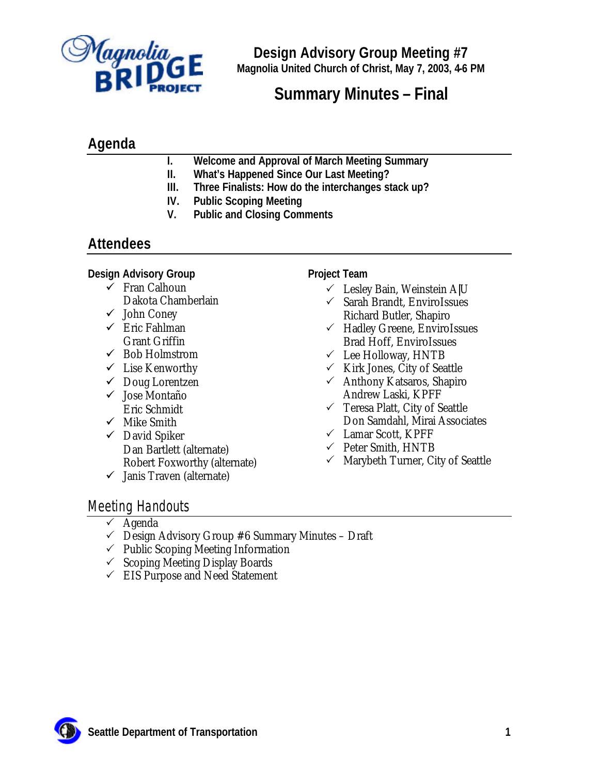

**Design Advisory Group Meeting #7 Magnolia United Church of Christ, May 7, 2003, 4-6 PM**

# **Summary Minutes – Final**

# **Agenda**

- **I. Welcome and Approval of March Meeting Summary**
- **II. What's Happened Since Our Last Meeting?**
- **III. Three Finalists: How do the interchanges stack up?**
- **IV. Public Scoping Meeting**
- **V. Public and Closing Comments**

# **Attendees**

### **Design Advisory Group**

- $\checkmark$  Fran Calhoun Dakota Chamberlain
- $\checkmark$  John Coney
- $\checkmark$  Eric Fahlman Grant Griffin
- $\checkmark$  Bob Holmstrom
- $\checkmark$  Lise Kenworthy
- $\checkmark$  Doug Lorentzen
- ¸ Jose Montaño Eric Schmidt
- $\checkmark$  Mike Smith
- $\checkmark$  David Spiker Dan Bartlett (alternate) Robert Foxworthy (alternate)
- $\checkmark$  Janis Traven (alternate)

### **Project Team**

- $\checkmark$  Lesley Bain, Weinstein A|U
- $\checkmark$  Sarah Brandt, EnviroIssues
- Richard Butler, Shapiro  $\checkmark$  Hadley Greene, EnviroIssues Brad Hoff, EnviroIssues
- $\checkmark$  Lee Holloway, HNTB
- $\checkmark$  Kirk Jones, City of Seattle
- $\checkmark$  Anthony Katsaros, Shapiro Andrew Laski, KPFF
- $\checkmark$  Teresa Platt, City of Seattle Don Samdahl, Mirai Associates
- $\checkmark$  Lamar Scott, KPFF
- $\checkmark$  Peter Smith, HNTB
- $\checkmark$  Marybeth Turner, City of Seattle

## Meeting Handouts

- $\checkmark$  Agenda
- $\checkmark$  Design Advisory Group #6 Summary Minutes Draft
- $\checkmark$  Public Scoping Meeting Information
- $\checkmark$  Scoping Meeting Display Boards
- $\checkmark$  EIS Purpose and Need Statement

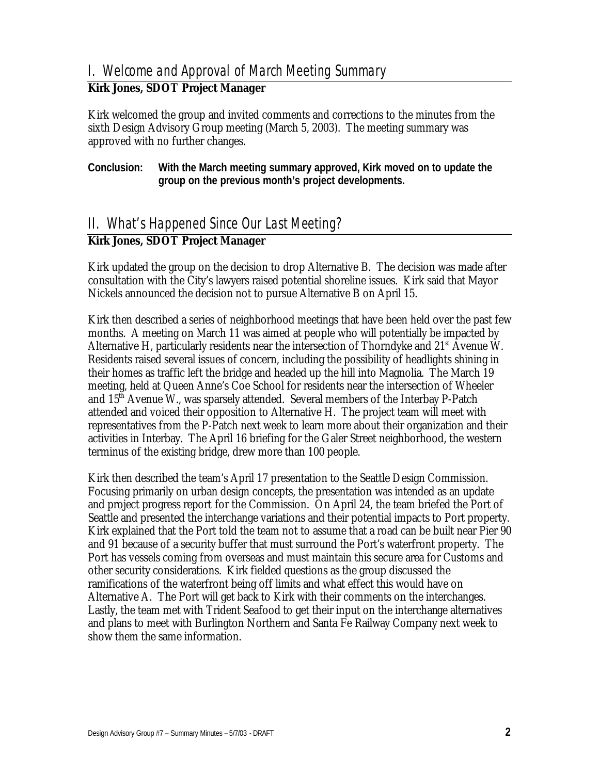## I. Welcome and Approval of March Meeting Summary

## **Kirk Jones, SDOT Project Manager**

Kirk welcomed the group and invited comments and corrections to the minutes from the sixth Design Advisory Group meeting (March 5, 2003). The meeting summary was approved with no further changes.

**Conclusion: With the March meeting summary approved, Kirk moved on to update the group on the previous month's project developments.** 

## II. What's Happened Since Our Last Meeting?

## **Kirk Jones, SDOT Project Manager**

Kirk updated the group on the decision to drop Alternative B. The decision was made after consultation with the City's lawyers raised potential shoreline issues. Kirk said that Mayor Nickels announced the decision not to pursue Alternative B on April 15.

Kirk then described a series of neighborhood meetings that have been held over the past few months. A meeting on March 11 was aimed at people who will potentially be impacted by Alternative H, particularly residents near the intersection of Thorndyke and  $21<sup>s</sup>$  Avenue W. Residents raised several issues of concern, including the possibility of headlights shining in their homes as traffic left the bridge and headed up the hill into Magnolia. The March 19 meeting, held at Queen Anne's Coe School for residents near the intersection of Wheeler and 15th Avenue W., was sparsely attended. Several members of the Interbay P-Patch attended and voiced their opposition to Alternative H. The project team will meet with representatives from the P-Patch next week to learn more about their organization and their activities in Interbay. The April 16 briefing for the Galer Street neighborhood, the western terminus of the existing bridge, drew more than 100 people.

Kirk then described the team's April 17 presentation to the Seattle Design Commission. Focusing primarily on urban design concepts, the presentation was intended as an update and project progress report for the Commission. On April 24, the team briefed the Port of Seattle and presented the interchange variations and their potential impacts to Port property. Kirk explained that the Port told the team not to assume that a road can be built near Pier 90 and 91 because of a security buffer that must surround the Port's waterfront property. The Port has vessels coming from overseas and must maintain this secure area for Customs and other security considerations. Kirk fielded questions as the group discussed the ramifications of the waterfront being off limits and what effect this would have on Alternative A. The Port will get back to Kirk with their comments on the interchanges. Lastly, the team met with Trident Seafood to get their input on the interchange alternatives and plans to meet with Burlington Northern and Santa Fe Railway Company next week to show them the same information.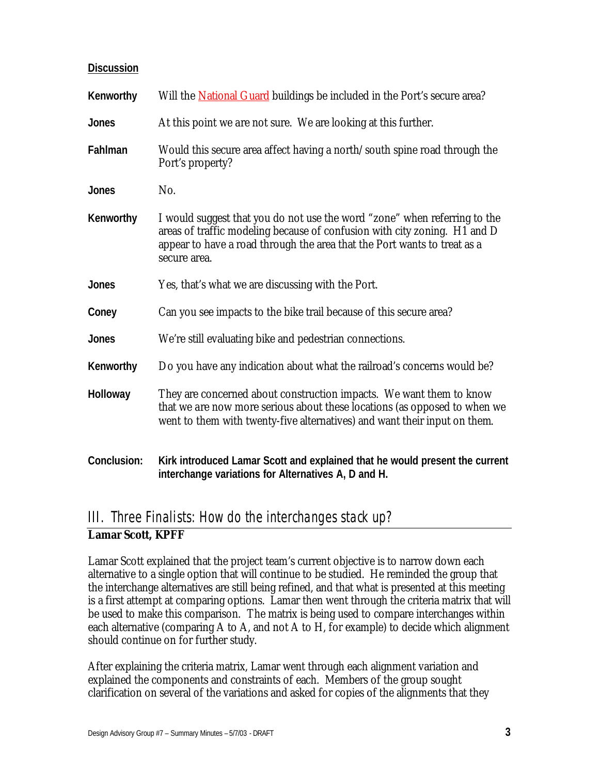| Discussion   |                                                                                                                                                                                                                                                    |
|--------------|----------------------------------------------------------------------------------------------------------------------------------------------------------------------------------------------------------------------------------------------------|
| Kenworthy    | Will the <b>National Guard</b> buildings be included in the Port's secure area?                                                                                                                                                                    |
| Jones        | At this point we are not sure. We are looking at this further.                                                                                                                                                                                     |
| Fahlman      | Would this secure area affect having a north/south spine road through the<br>Port's property?                                                                                                                                                      |
| <b>Jones</b> | No.                                                                                                                                                                                                                                                |
| Kenworthy    | I would suggest that you do not use the word "zone" when referring to the<br>areas of traffic modeling because of confusion with city zoning. H1 and D<br>appear to have a road through the area that the Port wants to treat as a<br>secure area. |
| Jones        | Yes, that's what we are discussing with the Port.                                                                                                                                                                                                  |
| Coney        | Can you see impacts to the bike trail because of this secure area?                                                                                                                                                                                 |
| Jones        | We're still evaluating bike and pedestrian connections.                                                                                                                                                                                            |
| Kenworthy    | Do you have any indication about what the railroad's concerns would be?                                                                                                                                                                            |
| Holloway     | They are concerned about construction impacts. We want them to know<br>that we are now more serious about these locations (as opposed to when we<br>went to them with twenty-five alternatives) and want their input on them.                      |
| Conclusion:  | Kirk introduced Lamar Scott and explained that he would present the current<br>interchange variations for Alternatives A, D and H.                                                                                                                 |

# III. Three Finalists: How do the interchanges stack up? **Lamar Scott, KPFF**

Lamar Scott explained that the project team's current objective is to narrow down each alternative to a single option that will continue to be studied. He reminded the group that the interchange alternatives are still being refined, and that what is presented at this meeting is a first attempt at comparing options. Lamar then went through the criteria matrix that will be used to make this comparison. The matrix is being used to compare interchanges within each alternative (comparing A to A, and not A to H, for example) to decide which alignment should continue on for further study.

After explaining the criteria matrix, Lamar went through each alignment variation and explained the components and constraints of each. Members of the group sought clarification on several of the variations and asked for copies of the alignments that they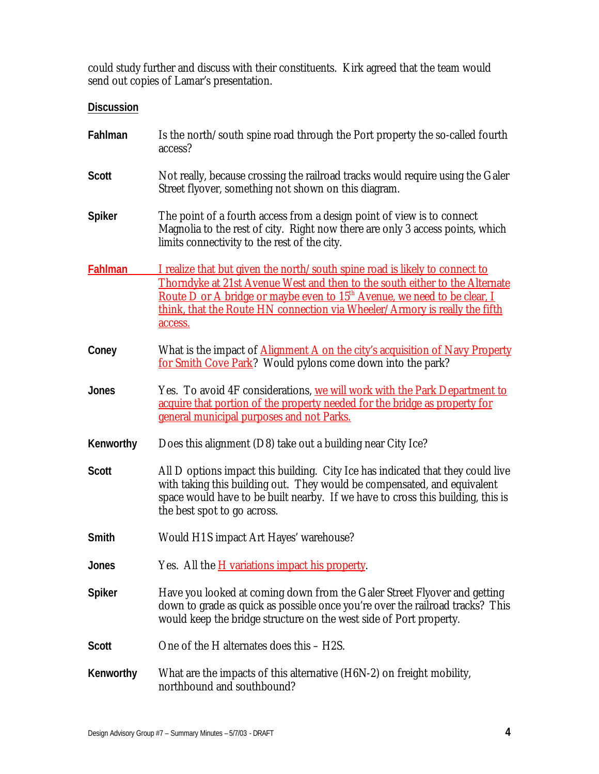could study further and discuss with their constituents. Kirk agreed that the team would send out copies of Lamar's presentation.

### **Discussion**

| Fahlman        | Is the north/south spine road through the Port property the so-called fourth<br>access?                                                                                                                                                                                                                                                     |
|----------------|---------------------------------------------------------------------------------------------------------------------------------------------------------------------------------------------------------------------------------------------------------------------------------------------------------------------------------------------|
| <b>Scott</b>   | Not really, because crossing the railroad tracks would require using the Galer<br>Street flyover, something not shown on this diagram.                                                                                                                                                                                                      |
| <b>Spiker</b>  | The point of a fourth access from a design point of view is to connect<br>Magnolia to the rest of city. Right now there are only 3 access points, which<br>limits connectivity to the rest of the city.                                                                                                                                     |
| <b>Fahlman</b> | I realize that but given the north/south spine road is likely to connect to<br>Thorndyke at 21st Avenue West and then to the south either to the Alternate<br>Route D or A bridge or maybe even to 15 <sup>th</sup> Avenue, we need to be clear, I<br>think, that the Route HN connection via Wheeler/Armory is really the fifth<br>access. |
| Coney          | What is the impact of <b>Alignment A on the city's acquisition of Navy Property</b><br>for Smith Cove Park? Would pylons come down into the park?                                                                                                                                                                                           |
| <b>Jones</b>   | Yes. To avoid 4F considerations, we will work with the Park Department to<br>acquire that portion of the property needed for the bridge as property for<br>general municipal purposes and not Parks.                                                                                                                                        |
| Kenworthy      | Does this alignment (D8) take out a building near City Ice?                                                                                                                                                                                                                                                                                 |
| <b>Scott</b>   | All D options impact this building. City Ice has indicated that they could live<br>with taking this building out. They would be compensated, and equivalent<br>space would have to be built nearby. If we have to cross this building, this is<br>the best spot to go across.                                                               |
| Smith          | Would H1S impact Art Hayes' warehouse?                                                                                                                                                                                                                                                                                                      |
| Jones          | Yes. All the <i>H</i> variations impact his property.                                                                                                                                                                                                                                                                                       |
| <b>Spiker</b>  | Have you looked at coming down from the Galer Street Flyover and getting<br>down to grade as quick as possible once you're over the railroad tracks? This<br>would keep the bridge structure on the west side of Port property.                                                                                                             |
| <b>Scott</b>   | One of the H alternates does this - H2S.                                                                                                                                                                                                                                                                                                    |
| Kenworthy      | What are the impacts of this alternative (H6N-2) on freight mobility,<br>northbound and southbound?                                                                                                                                                                                                                                         |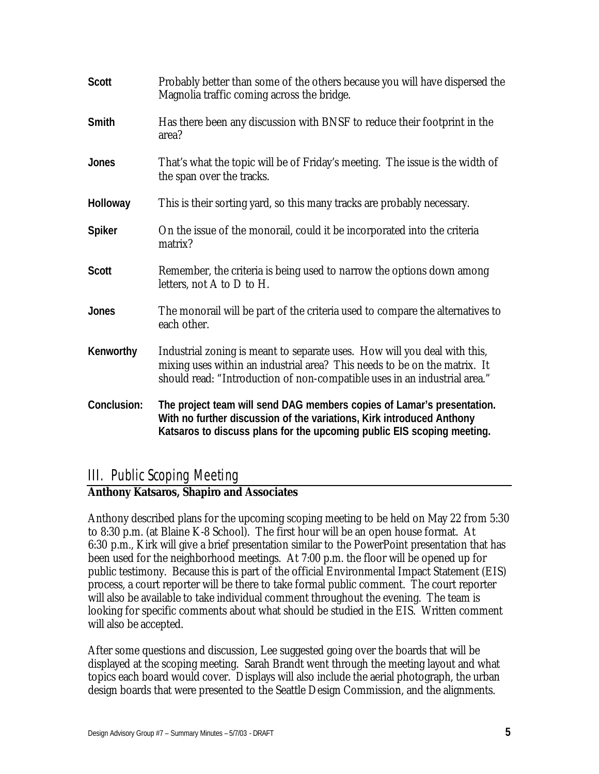| <b>Scott</b>  | Probably better than some of the others because you will have dispersed the<br>Magnolia traffic coming across the bridge.                                                                                                           |
|---------------|-------------------------------------------------------------------------------------------------------------------------------------------------------------------------------------------------------------------------------------|
| Smith         | Has there been any discussion with BNSF to reduce their footprint in the<br>area?                                                                                                                                                   |
| <b>Jones</b>  | That's what the topic will be of Friday's meeting. The issue is the width of<br>the span over the tracks.                                                                                                                           |
| Holloway      | This is their sorting yard, so this many tracks are probably necessary.                                                                                                                                                             |
| <b>Spiker</b> | On the issue of the monorail, could it be incorporated into the criteria<br>matrix?                                                                                                                                                 |
| <b>Scott</b>  | Remember, the criteria is being used to narrow the options down among<br>letters, not A to D to H.                                                                                                                                  |
| <b>Jones</b>  | The monorail will be part of the criteria used to compare the alternatives to<br>each other.                                                                                                                                        |
| Kenworthy     | Industrial zoning is meant to separate uses. How will you deal with this,<br>mixing uses within an industrial area? This needs to be on the matrix. It<br>should read: "Introduction of non-compatible uses in an industrial area." |
| Conclusion:   | The project team will send DAG members copies of Lamar's presentation.<br>With no further discussion of the variations, Kirk introduced Anthony<br>Katsaros to discuss plans for the upcoming public EIS scoping meeting.           |

# III. Public Scoping Meeting

## **Anthony Katsaros, Shapiro and Associates**

Anthony described plans for the upcoming scoping meeting to be held on May 22 from 5:30 to 8:30 p.m. (at Blaine K-8 School). The first hour will be an open house format. At 6:30 p.m., Kirk will give a brief presentation similar to the PowerPoint presentation that has been used for the neighborhood meetings. At 7:00 p.m. the floor will be opened up for public testimony. Because this is part of the official Environmental Impact Statement (EIS) process, a court reporter will be there to take formal public comment. The court reporter will also be available to take individual comment throughout the evening. The team is looking for specific comments about what should be studied in the EIS. Written comment will also be accepted.

After some questions and discussion, Lee suggested going over the boards that will be displayed at the scoping meeting. Sarah Brandt went through the meeting layout and what topics each board would cover. Displays will also include the aerial photograph, the urban design boards that were presented to the Seattle Design Commission, and the alignments.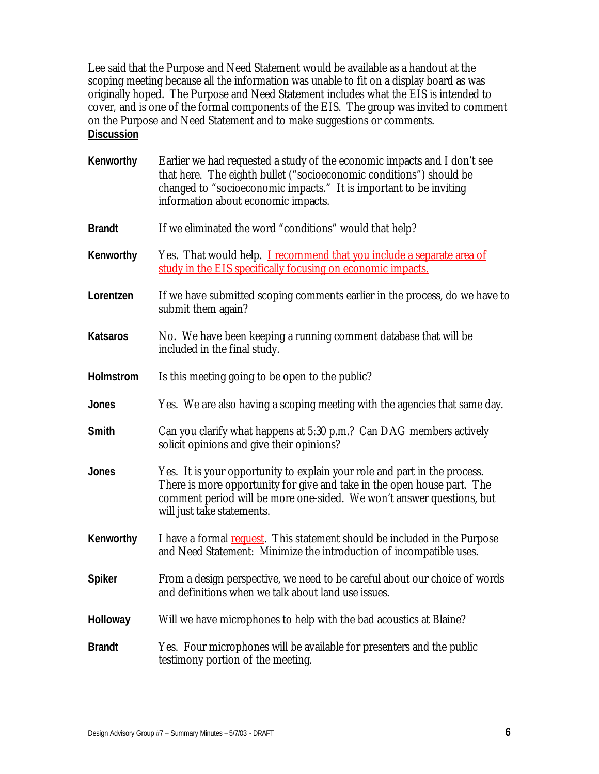Lee said that the Purpose and Need Statement would be available as a handout at the scoping meeting because all the information was unable to fit on a display board as was originally hoped. The Purpose and Need Statement includes what the EIS is intended to cover, and is one of the formal components of the EIS. The group was invited to comment on the Purpose and Need Statement and to make suggestions or comments. **Discussion**

| Kenworthy       | Earlier we had requested a study of the economic impacts and I don't see<br>that here. The eighth bullet ("socioeconomic conditions") should be<br>changed to "socioeconomic impacts." It is important to be inviting<br>information about economic impacts. |
|-----------------|--------------------------------------------------------------------------------------------------------------------------------------------------------------------------------------------------------------------------------------------------------------|
| <b>Brandt</b>   | If we eliminated the word "conditions" would that help?                                                                                                                                                                                                      |
| Kenworthy       | Yes. That would help. <b>I</b> recommend that you include a separate area of<br>study in the EIS specifically focusing on economic impacts.                                                                                                                  |
| Lorentzen       | If we have submitted scoping comments earlier in the process, do we have to<br>submit them again?                                                                                                                                                            |
| <b>Katsaros</b> | No. We have been keeping a running comment database that will be<br>included in the final study.                                                                                                                                                             |
| Holmstrom       | Is this meeting going to be open to the public?                                                                                                                                                                                                              |
| Jones           | Yes. We are also having a scoping meeting with the agencies that same day.                                                                                                                                                                                   |
| Smith           | Can you clarify what happens at 5:30 p.m.? Can DAG members actively<br>solicit opinions and give their opinions?                                                                                                                                             |
| <b>Jones</b>    | Yes. It is your opportunity to explain your role and part in the process.<br>There is more opportunity for give and take in the open house part. The<br>comment period will be more one-sided. We won't answer questions, but<br>will just take statements.  |
| Kenworthy       | I have a formal request. This statement should be included in the Purpose<br>and Need Statement: Minimize the introduction of incompatible uses.                                                                                                             |
| <b>Spiker</b>   | From a design perspective, we need to be careful about our choice of words<br>and definitions when we talk about land use issues.                                                                                                                            |
| Holloway        | Will we have microphones to help with the bad acoustics at Blaine?                                                                                                                                                                                           |
| <b>Brandt</b>   | Yes. Four microphones will be available for presenters and the public<br>testimony portion of the meeting.                                                                                                                                                   |